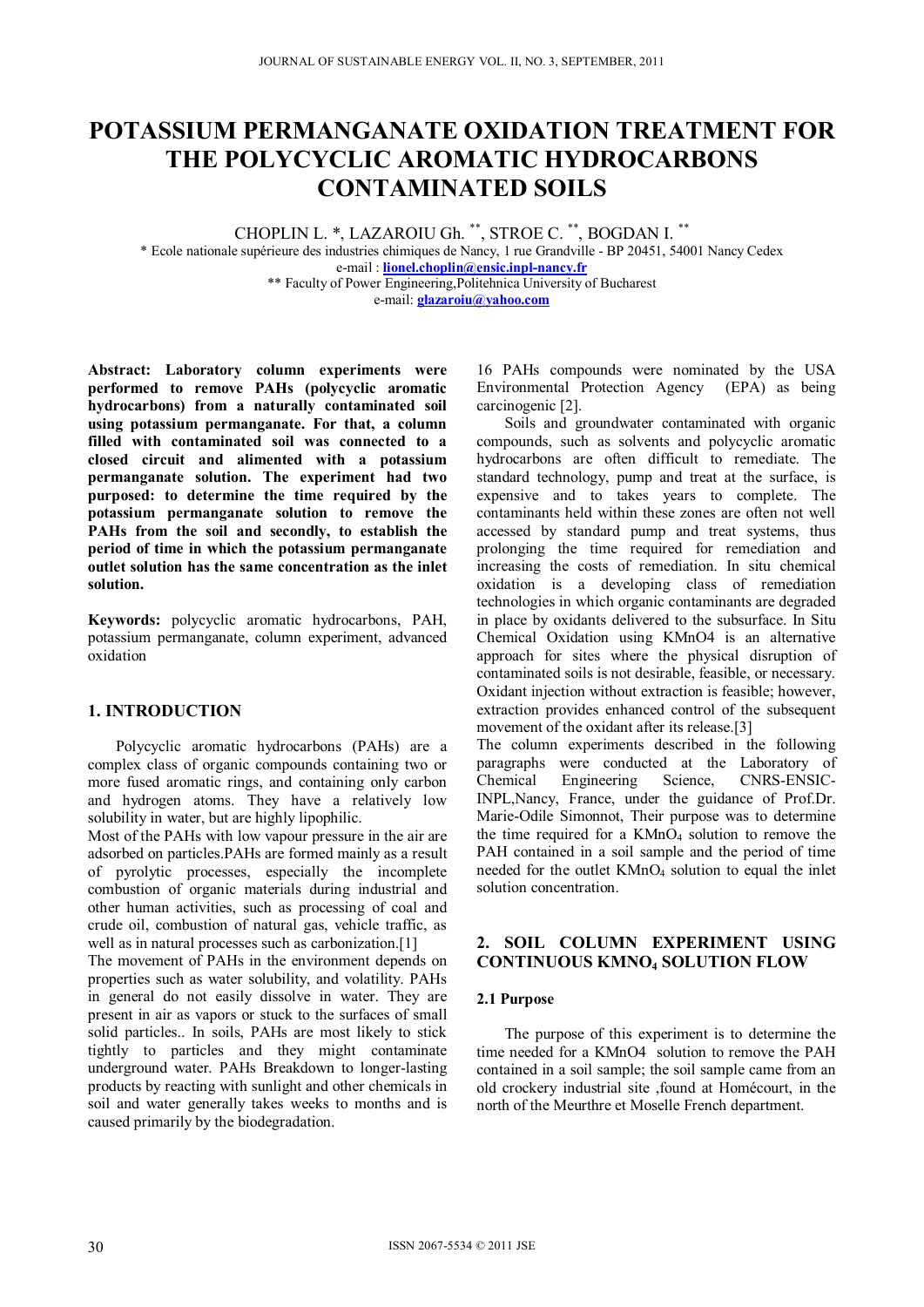# **POTASSIUM PERMANGANATE OXIDATION TREATMENT FOR THE POLYCYCLIC AROMATIC HYDROCARBONS CONTAMINATED SOILS**

CHOPLIN L. \*, LAZAROIU Gh. \*\*, STROE C. \*\*, BOGDAN I. \*\*

\* Ecole nationale supérieure des industries chimiques de Nancy, 1 rue Grandville - BP 20451, 54001 Nancy Cedex e-mail : **lionel.choplin@ensic.inpl-nancy.fr** \*\* Faculty of Power Engineering,Politehnica University of Bucharest

e-mail: **glazaroiu@yahoo.com**

**Abstract: Laboratory column experiments were performed to remove PAHs (polycyclic aromatic hydrocarbons) from a naturally contaminated soil using potassium permanganate. For that, a column filled with contaminated soil was connected to a closed circuit and alimented with a potassium permanganate solution. The experiment had two purposed: to determine the time required by the potassium permanganate solution to remove the PAHs from the soil and secondly, to establish the period of time in which the potassium permanganate outlet solution has the same concentration as the inlet solution.** 

**Keywords:** polycyclic aromatic hydrocarbons, PAH, potassium permanganate, column experiment, advanced oxidation

## **1. INTRODUCTION**

Polycyclic aromatic hydrocarbons (PAHs) are a complex class of organic compounds containing two or more fused aromatic rings, and containing only carbon and hydrogen atoms. They have a relatively low solubility in water, but are highly lipophilic.

Most of the PAHs with low vapour pressure in the air are adsorbed on particles.PAHs are formed mainly as a result of pyrolytic processes, especially the incomplete combustion of organic materials during industrial and other human activities, such as processing of coal and crude oil, combustion of natural gas, vehicle traffic, as well as in natural processes such as carbonization.[1]

The movement of PAHs in the environment depends on properties such as water solubility, and volatility. PAHs in general do not easily dissolve in water. They are present in air as vapors or stuck to the surfaces of small solid particles.. In soils, PAHs are most likely to stick tightly to particles and they might contaminate underground water. PAHs Breakdown to longer-lasting products by reacting with sunlight and other chemicals in soil and water generally takes weeks to months and is caused primarily by the biodegradation.

16 PAHs compounds were nominated by the USA Environmental Protection Agency (EPA) as being carcinogenic [2].

Soils and groundwater contaminated with organic compounds, such as solvents and polycyclic aromatic hydrocarbons are often difficult to remediate. The standard technology, pump and treat at the surface, is expensive and to takes years to complete. The contaminants held within these zones are often not well accessed by standard pump and treat systems, thus prolonging the time required for remediation and increasing the costs of remediation. In situ chemical oxidation is a developing class of remediation technologies in which organic contaminants are degraded in place by oxidants delivered to the subsurface. In Situ Chemical Oxidation using KMnO4 is an alternative approach for sites where the physical disruption of contaminated soils is not desirable, feasible, or necessary. Oxidant injection without extraction is feasible; however, extraction provides enhanced control of the subsequent movement of the oxidant after its release.[3]

The column experiments described in the following paragraphs were conducted at the Laboratory of Chemical Engineering Science. CNRS-ENSIC-CNRS-ENSIC-INPL,Nancy, France, under the guidance of Prof.Dr. Marie-Odile Simonnot, Their purpose was to determine the time required for a  $KMnO<sub>4</sub>$  solution to remove the PAH contained in a soil sample and the period of time needed for the outlet KMnO<sub>4</sub> solution to equal the inlet solution concentration.

## **2. SOIL COLUMN EXPERIMENT USING CONTINUOUS KMNO4 SOLUTION FLOW**

#### **2.1 Purpose**

The purpose of this experiment is to determine the time needed for a KMnO4 solution to remove the PAH contained in a soil sample; the soil sample came from an old crockery industrial site ,found at Homécourt, in the north of the Meurthre et Moselle French department.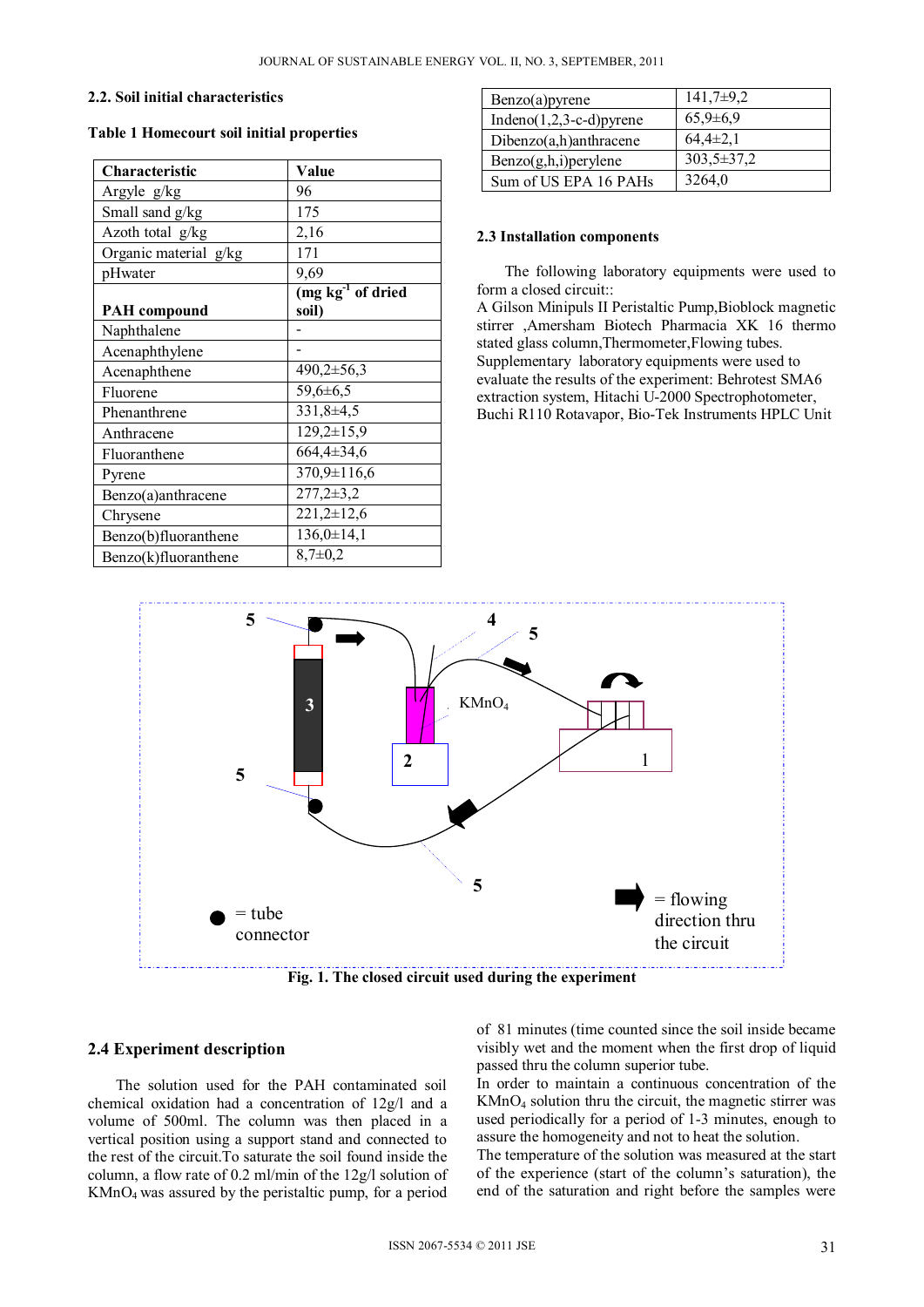#### **2.2. Soil initial characteristics**

## **Table 1 Homecourt soil initial properties**

| Characteristic        | Value                             |
|-----------------------|-----------------------------------|
| Argyle g/kg           | 96                                |
| Small sand g/kg       | 175                               |
| Azoth total g/kg      | 2,16                              |
| Organic material g/kg | 171                               |
| pHwater               | 9,69                              |
|                       | $(mg \overline{kg^{-1}}$ of dried |
| <b>PAH</b> compound   | soil)                             |
| Naphthalene           |                                   |
| Acenaphthylene        |                                   |
| Acenaphthene          | 490,2±56,3                        |
| Fluorene              | 59,6±6,5                          |
| Phenanthrene          | $331,8+4,5$                       |
| Anthracene            | $129,2 \pm 15,9$                  |
| Fluoranthene          | 664,4±34,6                        |
| Pyrene                | $370,9 \pm 116,6$                 |
| Benzo(a)anthracene    | $277,2 \pm 3,2$                   |
| Chrysene              | $221,2\pm 12,6$                   |
| Benzo(b)fluoranthene  | $136,0 \pm 14,1$                  |
| Benzo(k)fluoranthene  | $8,7\pm0,2$                       |

| Benzo(a)pyrene              | $141,7\pm9,2$    |
|-----------------------------|------------------|
| Indeno $(1,2,3-c-d)$ pyrene | $65,9{\pm}6,9$   |
| $Dibenzo(a,h)$ anthracene   | $64,4\pm2,1$     |
| $Benzo(g,h,i)$ per ylene    | $303,5 \pm 37,2$ |
| Sum of US EPA 16 PAHs       | 3264,0           |

#### **2.3 Installation components**

The following laboratory equipments were used to form a closed circuit:: A Gilson Minipuls II Peristaltic Pump,Bioblock magnetic stirrer ,Amersham Biotech Pharmacia XK 16 thermo stated glass column,Thermometer,Flowing tubes. Supplementary laboratory equipments were used to evaluate the results of the experiment: Behrotest SMA6 extraction system, Hitachi U-2000 Spectrophotometer,

Buchi R110 Rotavapor, Bio-Tek Instruments HPLC Unit



**Fig. 1. The closed circuit used during the experiment** 

## **2.4 Experiment description**

The solution used for the PAH contaminated soil chemical oxidation had a concentration of 12g/l and a volume of 500ml. The column was then placed in a vertical position using a support stand and connected to the rest of the circuit.To saturate the soil found inside the column, a flow rate of 0.2 ml/min of the 12g/l solution of KMnO4 was assured by the peristaltic pump, for a period of 81 minutes (time counted since the soil inside became visibly wet and the moment when the first drop of liquid passed thru the column superior tube.

In order to maintain a continuous concentration of the KMnO4 solution thru the circuit, the magnetic stirrer was used periodically for a period of 1-3 minutes, enough to assure the homogeneity and not to heat the solution.

The temperature of the solution was measured at the start of the experience (start of the column's saturation), the end of the saturation and right before the samples were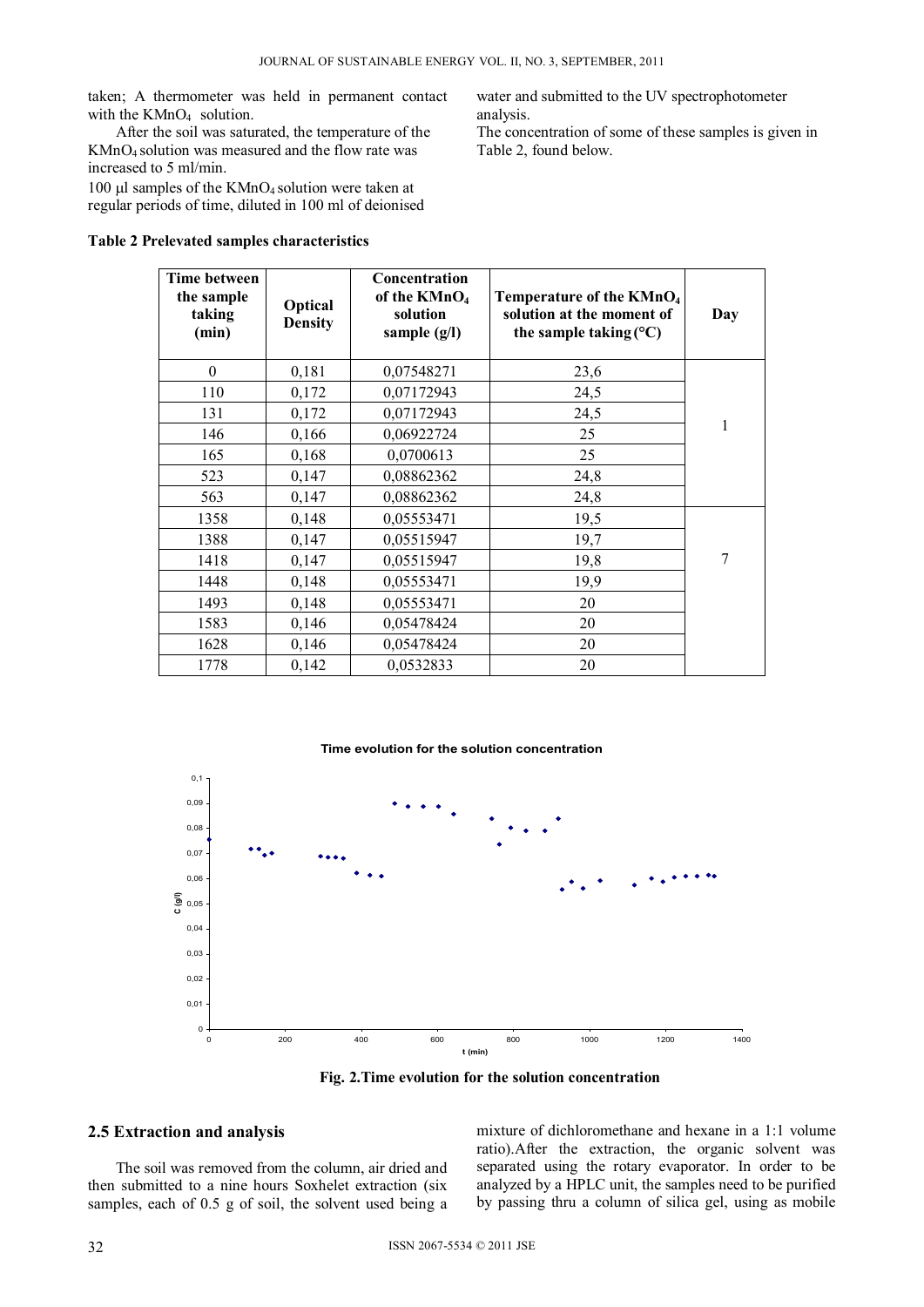taken; A thermometer was held in permanent contact with the  $KMnO<sub>4</sub>$  solution.

After the soil was saturated, the temperature of the KMnO4 solution was measured and the flow rate was increased to 5 ml/min.

100  $\mu$ l samples of the KMnO<sub>4</sub> solution were taken at regular periods of time, diluted in 100 ml of deionised

## **Table 2 Prelevated samples characteristics**

water and submitted to the UV spectrophotometer analysis.

The concentration of some of these samples is given in Table 2, found below.

| <b>Time between</b><br>the sample<br>taking<br>(min) | Optical<br><b>Density</b> | Concentration<br>of the KMnO <sub>4</sub><br>solution<br>sample (g/l) | Temperature of the KMnO <sub>4</sub><br>solution at the moment of<br>the sample taking $(^{\circ}C)$ | Day |
|------------------------------------------------------|---------------------------|-----------------------------------------------------------------------|------------------------------------------------------------------------------------------------------|-----|
| $\boldsymbol{0}$                                     | 0,181                     | 0,07548271                                                            | 23,6                                                                                                 |     |
| 110                                                  | 0,172                     | 0,07172943                                                            | 24,5                                                                                                 |     |
| 131                                                  | 0,172                     | 0,07172943                                                            | 24,5                                                                                                 |     |
| 146                                                  | 0,166                     | 0,06922724                                                            | 25                                                                                                   | 1   |
| 165                                                  | 0,168                     | 0,0700613                                                             | 25                                                                                                   |     |
| 523                                                  | 0,147                     | 0,08862362                                                            | 24,8                                                                                                 |     |
| 563                                                  | 0,147                     | 0,08862362                                                            | 24,8                                                                                                 |     |
| 1358                                                 | 0,148                     | 0,05553471                                                            | 19,5                                                                                                 |     |
| 1388                                                 | 0,147                     | 0,05515947                                                            | 19,7                                                                                                 |     |
| 1418                                                 | 0,147                     | 0,05515947                                                            | 19,8                                                                                                 | 7   |
| 1448                                                 | 0,148                     | 0,05553471                                                            | 19,9                                                                                                 |     |
| 1493                                                 | 0,148                     | 0,05553471                                                            | 20                                                                                                   |     |
| 1583                                                 | 0,146                     | 0,05478424                                                            | 20                                                                                                   |     |
| 1628                                                 | 0,146                     | 0,05478424                                                            | 20                                                                                                   |     |
| 1778                                                 | 0,142                     | 0,0532833                                                             | 20                                                                                                   |     |



**Fig. 2.Time evolution for the solution concentration** 

### **2.5 Extraction and analysis**

The soil was removed from the column, air dried and then submitted to a nine hours Soxhelet extraction (six samples, each of 0.5 g of soil, the solvent used being a

mixture of dichloromethane and hexane in a 1:1 volume ratio).After the extraction, the organic solvent was separated using the rotary evaporator. In order to be analyzed by a HPLC unit, the samples need to be purified by passing thru a column of silica gel, using as mobile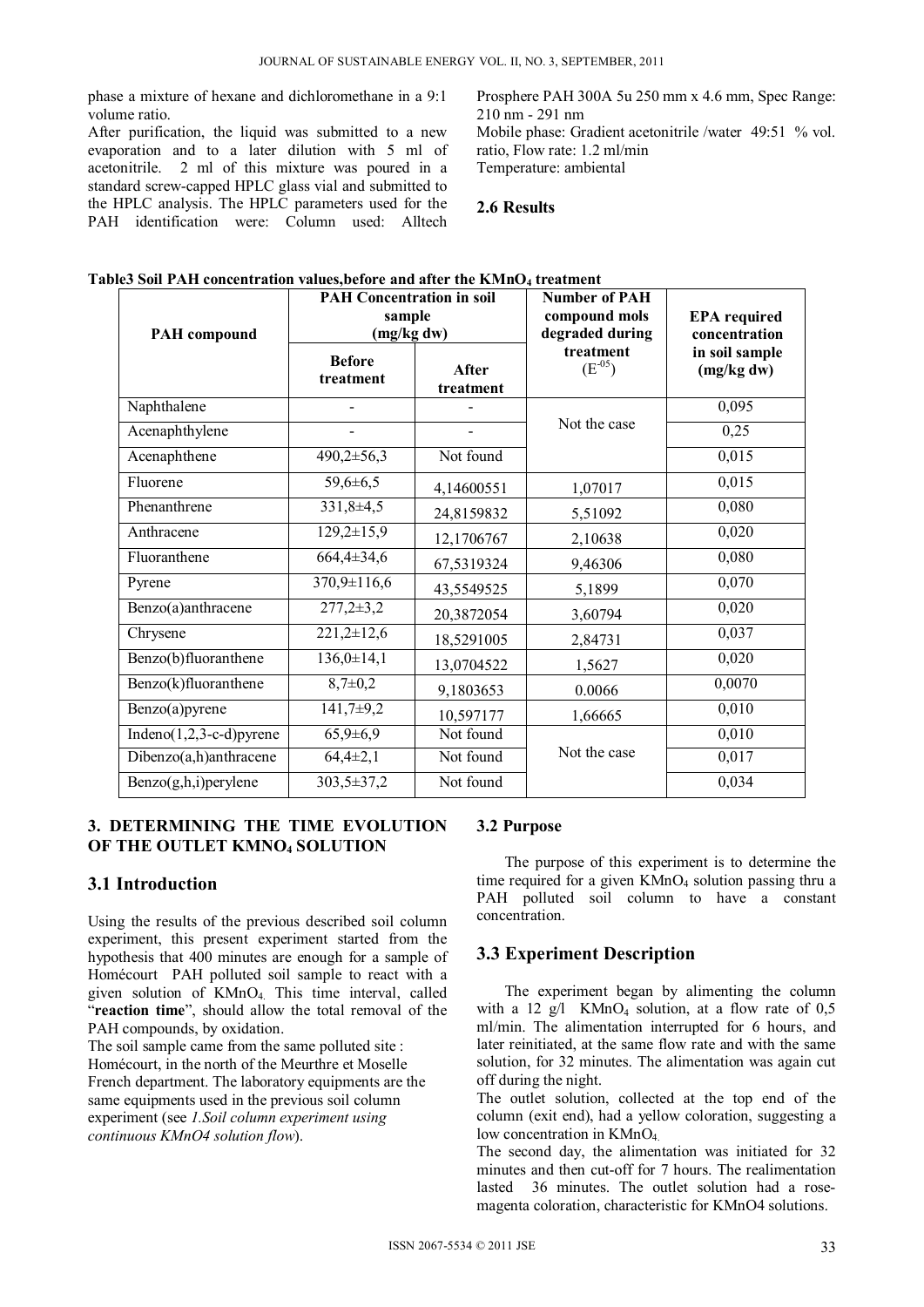phase a mixture of hexane and dichloromethane in a 9:1 volume ratio.

After purification, the liquid was submitted to a new evaporation and to a later dilution with 5 ml of acetonitrile. 2 ml of this mixture was poured in a standard screw-capped HPLC glass vial and submitted to the HPLC analysis. The HPLC parameters used for the PAH identification were: Column used: Alltech

Prosphere PAH 300A 5u 250 mm x 4.6 mm, Spec Range: 210 nm - 291 nm Mobile phase: Gradient acetonitrile /water 49:51 % vol. ratio, Flow rate: 1.2 ml/min Temperature: ambiental

## **2.6 Results**

|--|

| <b>PAH Concentration in soil</b><br>sample<br>(mg/kg dw)<br><b>PAH</b> compound |                            | <b>Number of PAH</b><br>compound mols<br>degraded during | <b>EPA</b> required<br>concentration |                              |
|---------------------------------------------------------------------------------|----------------------------|----------------------------------------------------------|--------------------------------------|------------------------------|
|                                                                                 | <b>Before</b><br>treatment | After<br>treatment                                       | treatment<br>$(E^{-0.5})$            | in soil sample<br>(mg/kg dw) |
| Naphthalene                                                                     |                            |                                                          |                                      | 0,095                        |
| Acenaphthylene                                                                  |                            |                                                          | Not the case                         | 0,25                         |
| Acenaphthene                                                                    | $490,2 \pm 56,3$           | Not found                                                |                                      | 0,015                        |
| Fluorene                                                                        | $59,6 \pm 6,5$             | 4,14600551                                               | 1,07017                              | 0,015                        |
| Phenanthrene                                                                    | $331,8+4,5$                | 24,8159832                                               | 5,51092                              | 0,080                        |
| Anthracene                                                                      | $129,2 \pm 15,9$           | 12,1706767                                               | 2,10638                              | 0,020                        |
| Fluoranthene                                                                    | 664,4±34,6                 | 67,5319324                                               | 9,46306                              | 0,080                        |
| Pyrene                                                                          | $370,9 \pm 116,6$          | 43,5549525                                               | 5,1899                               | 0,070                        |
| Benzo(a)anthracene                                                              | $277,2 \pm 3,2$            | 20,3872054                                               | 3,60794                              | 0,020                        |
| Chrysene                                                                        | $221,2\pm 12,6$            | 18,5291005                                               | 2,84731                              | 0,037                        |
| Benzo(b)fluoranthene                                                            | $136,0 \pm 14,1$           | 13,0704522                                               | 1,5627                               | 0,020                        |
| Benzo(k)fluoranthene                                                            | $\frac{1}{8,7}$ = 0,2      | 9,1803653                                                | 0.0066                               | 0,0070                       |
| Benzo(a)pyrene                                                                  | $141,7+9,2$                | 10,597177                                                | 1,66665                              | 0,010                        |
| Indeno $(1,2,3-c-d)$ pyrene                                                     | $65,9{\pm}6,9$             | Not found                                                |                                      | 0,010                        |
| Dibenzo(a,h)anthracene                                                          | $64,4\pm2,1$               | Not found                                                | Not the case                         | 0,017                        |
| Benzo(g,h,i)perylene                                                            | 303,5±37,2                 | Not found                                                |                                      | 0,034                        |

## **3. DETERMINING THE TIME EVOLUTION OF THE OUTLET KMNO4 SOLUTION**

## **3.1 Introduction**

Using the results of the previous described soil column experiment, this present experiment started from the hypothesis that 400 minutes are enough for a sample of Homécourt PAH polluted soil sample to react with a given solution of KMnO<sub>4</sub> This time interval, called "**reaction time**", should allow the total removal of the PAH compounds, by oxidation.

The soil sample came from the same polluted site : Homécourt, in the north of the Meurthre et Moselle French department. The laboratory equipments are the same equipments used in the previous soil column experiment (see *1.Soil column experiment using continuous KMnO4 solution flow*).

# **3.2 Purpose**

The purpose of this experiment is to determine the time required for a given  $KMnO<sub>4</sub>$  solution passing thru a PAH polluted soil column to have a constant concentration.

## **3.3 Experiment Description**

The experiment began by alimenting the column with a 12  $g/l$  KMnO<sub>4</sub> solution, at a flow rate of 0,5 ml/min. The alimentation interrupted for 6 hours, and later reinitiated, at the same flow rate and with the same solution, for 32 minutes. The alimentation was again cut off during the night.

The outlet solution, collected at the top end of the column (exit end), had a yellow coloration, suggesting a low concentration in KMnO<sub>4</sub>

The second day, the alimentation was initiated for 32 minutes and then cut-off for 7 hours. The realimentation lasted 36 minutes. The outlet solution had a rosemagenta coloration, characteristic for KMnO4 solutions.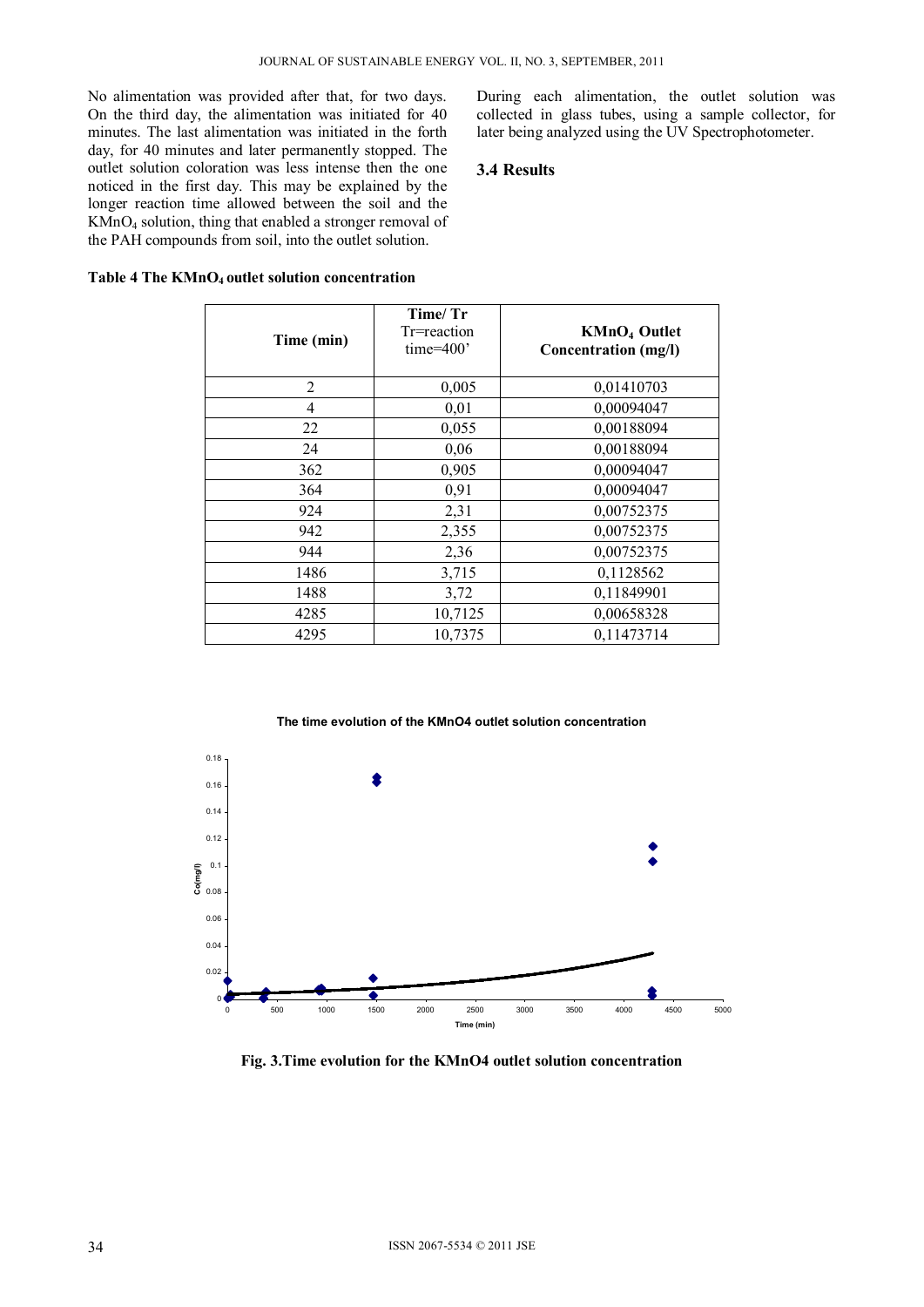No alimentation was provided after that, for two days. On the third day, the alimentation was initiated for 40 minutes. The last alimentation was initiated in the forth day, for 40 minutes and later permanently stopped. The outlet solution coloration was less intense then the one noticed in the first day. This may be explained by the longer reaction time allowed between the soil and the KMnO4 solution, thing that enabled a stronger removal of the PAH compounds from soil, into the outlet solution.

During each alimentation, the outlet solution was collected in glass tubes, using a sample collector, for later being analyzed using the UV Spectrophotometer.

## **3.4 Results**

| Time (min)     | Time/ Tr<br>Tr=reaction<br>time= $400'$ | KMnO <sub>4</sub> Outlet<br><b>Concentration</b> (mg/l) |
|----------------|-----------------------------------------|---------------------------------------------------------|
| $\overline{2}$ | 0,005                                   | 0,01410703                                              |
| 4              | 0,01                                    | 0,00094047                                              |
| 22             | 0,055                                   | 0,00188094                                              |
| 24             | 0,06                                    | 0,00188094                                              |
| 362            | 0,905                                   | 0,00094047                                              |
| 364            | 0,91                                    | 0,00094047                                              |
| 924            | 2,31                                    | 0,00752375                                              |
| 942            | 2,355                                   | 0,00752375                                              |
| 944            | 2,36                                    | 0,00752375                                              |
| 1486           | 3,715                                   | 0,1128562                                               |
| 1488           | 3,72                                    | 0,11849901                                              |
| 4285           | 10,7125                                 | 0,00658328                                              |
| 4295           | 10,7375                                 | 0,11473714                                              |

#### Table 4 The KMnO<sub>4</sub> outlet solution concentration



## **Fig. 3.Time evolution for the KMnO4 outlet solution concentration**